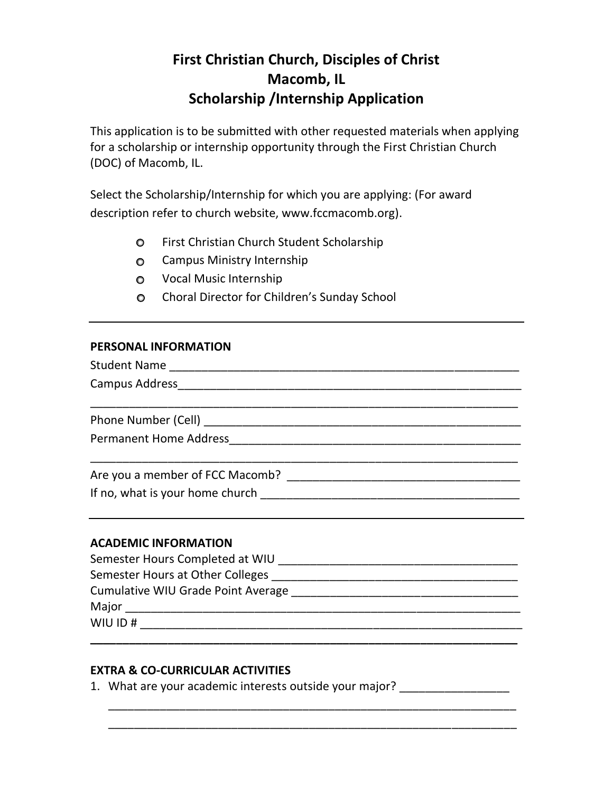## **First Christian Church, Disciples of Christ Macomb, IL Scholarship /Internship Application**

This application is to be submitted with other requested materials when applying for a scholarship or internship opportunity through the First Christian Church (DOC) of Macomb, IL.

Select the Scholarship/Internship for which you are applying: (For award description refer to church website, www.fccmacomb.org).

- First Christian Church Student Scholarship
- **O** Campus Ministry Internship
- Vocal Music Internship
- Choral Director for Children's Sunday School

## **PERSONAL INFORMATION**

| <b>Permanent Home Address</b>   |  |
|---------------------------------|--|
|                                 |  |
| Are you a member of FCC Macomb? |  |

If no, what is your home church \_\_\_\_\_\_\_\_\_\_\_\_\_\_\_\_\_\_\_\_\_\_\_\_\_\_\_\_\_\_\_\_\_\_\_\_\_\_\_\_

## **ACADEMIC INFORMATION**

| Semester Hours Completed at WIU    |
|------------------------------------|
| Semester Hours at Other Colleges   |
| Cumulative WIU Grade Point Average |
| Major                              |
| WIU ID#                            |

**\_\_\_\_\_\_\_\_\_\_\_\_\_\_\_\_\_\_\_\_\_\_\_\_\_\_\_\_\_\_\_\_\_\_\_\_\_\_\_\_\_\_\_\_\_\_\_\_\_\_\_\_\_\_\_\_\_\_\_\_\_\_\_\_\_\_** 

\_\_\_\_\_\_\_\_\_\_\_\_\_\_\_\_\_\_\_\_\_\_\_\_\_\_\_\_\_\_\_\_\_\_\_\_\_\_\_\_\_\_\_\_\_\_\_\_\_\_\_\_\_\_\_\_\_\_\_\_\_\_\_ \_\_\_\_\_\_\_\_\_\_\_\_\_\_\_\_\_\_\_\_\_\_\_\_\_\_\_\_\_\_\_\_\_\_\_\_\_\_\_\_\_\_\_\_\_\_\_\_\_\_\_\_\_\_\_\_\_\_\_\_\_\_\_

## **EXTRA & CO-CURRICULAR ACTIVITIES**

1. What are your academic interests outside your major? \_\_\_\_\_\_\_\_\_\_\_\_\_\_\_\_\_\_\_\_\_\_\_\_